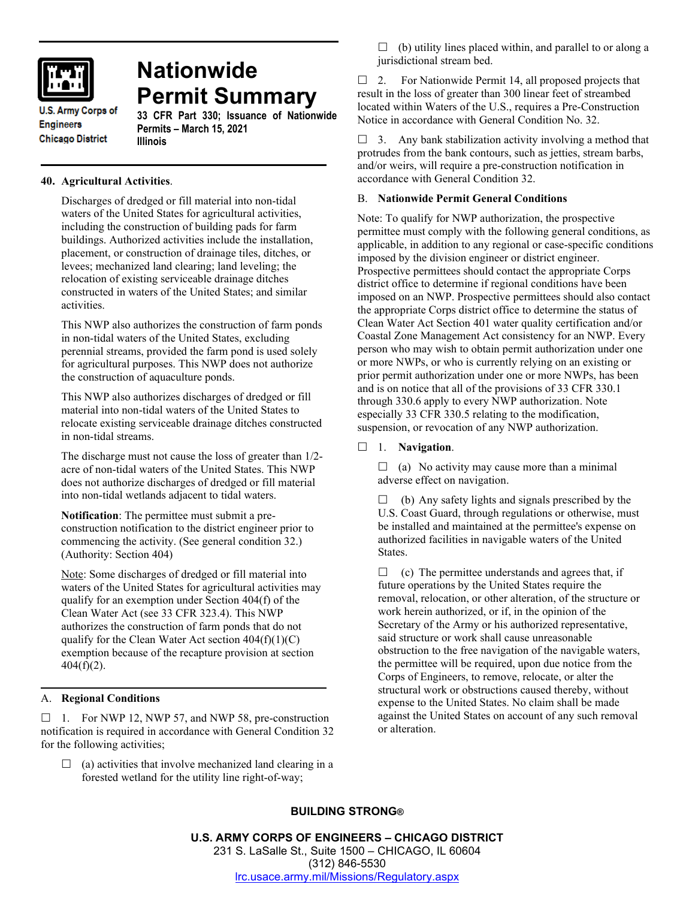

# **Nationwide Permit Summary**

**U.S. Army Corps of Engineers Chicago District** 

# **33 CFR Part 330; Issuance of Nationwide Permits – March 15, 2021 Illinois**

# **40. Agricultural Activities**.

Discharges of dredged or fill material into non-tidal waters of the United States for agricultural activities, including the construction of building pads for farm buildings. Authorized activities include the installation, placement, or construction of drainage tiles, ditches, or levees; mechanized land clearing; land leveling; the relocation of existing serviceable drainage ditches constructed in waters of the United States; and similar activities.

This NWP also authorizes the construction of farm ponds in non-tidal waters of the United States, excluding perennial streams, provided the farm pond is used solely for agricultural purposes. This NWP does not authorize the construction of aquaculture ponds.

This NWP also authorizes discharges of dredged or fill material into non-tidal waters of the United States to relocate existing serviceable drainage ditches constructed in non-tidal streams.

The discharge must not cause the loss of greater than 1/2 acre of non-tidal waters of the United States. This NWP does not authorize discharges of dredged or fill material into non-tidal wetlands adjacent to tidal waters.

**Notification**: The permittee must submit a preconstruction notification to the district engineer prior to commencing the activity. (See general condition 32.) (Authority: Section 404)

Note: Some discharges of dredged or fill material into waters of the United States for agricultural activities may qualify for an exemption under Section 404(f) of the Clean Water Act (see 33 CFR 323.4). This NWP authorizes the construction of farm ponds that do not qualify for the Clean Water Act section  $404(f)(1)(C)$ exemption because of the recapture provision at section 404(f)(2).

## A. **Regional Conditions**

 $\Box$  1. For NWP 12, NWP 57, and NWP 58, pre-construction notification is required in accordance with General Condition 32 for the following activities;

 $\Box$  (a) activities that involve mechanized land clearing in a forested wetland for the utility line right-of-way;

 $\Box$  (b) utility lines placed within, and parallel to or along a jurisdictional stream bed.

 $\Box$  2. For Nationwide Permit 14, all proposed projects that result in the loss of greater than 300 linear feet of streambed located within Waters of the U.S., requires a Pre-Construction Notice in accordance with General Condition No. 32.

 $\Box$  3. Any bank stabilization activity involving a method that protrudes from the bank contours, such as jetties, stream barbs, and/or weirs, will require a pre-construction notification in accordance with General Condition 32.

### B. **Nationwide Permit General Conditions**

Note: To qualify for NWP authorization, the prospective permittee must comply with the following general conditions, as applicable, in addition to any regional or case-specific conditions imposed by the division engineer or district engineer. Prospective permittees should contact the appropriate Corps district office to determine if regional conditions have been imposed on an NWP. Prospective permittees should also contact the appropriate Corps district office to determine the status of Clean Water Act Section 401 water quality certification and/or Coastal Zone Management Act consistency for an NWP. Every person who may wish to obtain permit authorization under one or more NWPs, or who is currently relying on an existing or prior permit authorization under one or more NWPs, has been and is on notice that all of the provisions of 33 CFR 330.1 through 330.6 apply to every NWP authorization. Note especially 33 CFR 330.5 relating to the modification, suspension, or revocation of any NWP authorization.

### 1. **Navigation**.

 $\Box$  (a) No activity may cause more than a minimal adverse effect on navigation.

 $\Box$  (b) Any safety lights and signals prescribed by the U.S. Coast Guard, through regulations or otherwise, must be installed and maintained at the permittee's expense on authorized facilities in navigable waters of the United **States**.

 $\Box$  (c) The permittee understands and agrees that, if future operations by the United States require the removal, relocation, or other alteration, of the structure or work herein authorized, or if, in the opinion of the Secretary of the Army or his authorized representative, said structure or work shall cause unreasonable obstruction to the free navigation of the navigable waters, the permittee will be required, upon due notice from the Corps of Engineers, to remove, relocate, or alter the structural work or obstructions caused thereby, without expense to the United States. No claim shall be made against the United States on account of any such removal or alteration.

# **BUILDING STRONG®**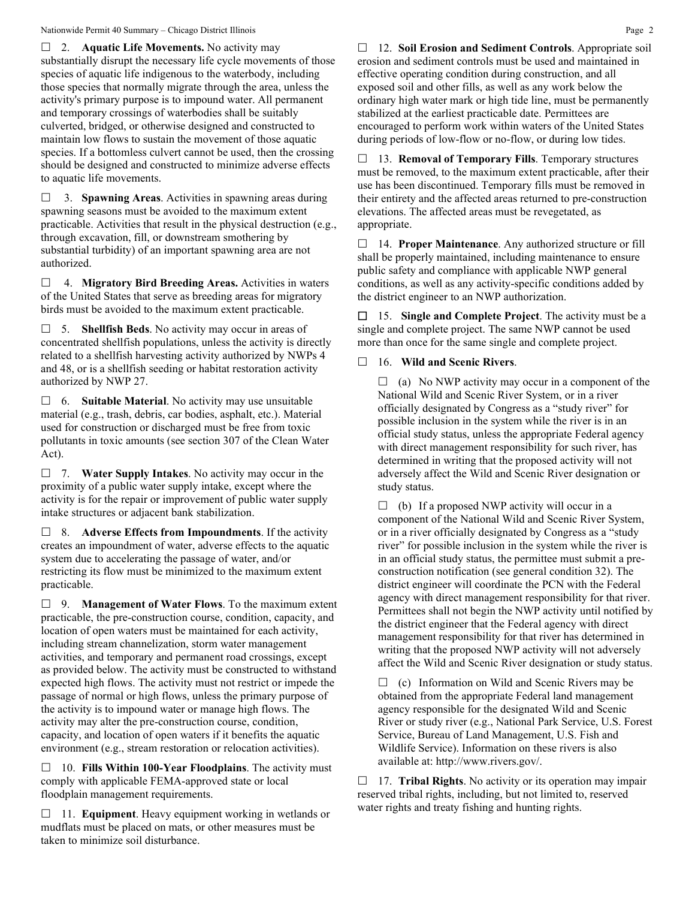Nationwide Permit 40 Summary – Chicago District Illinois **Page 2** Page 2

 2. **Aquatic Life Movements.** No activity may substantially disrupt the necessary life cycle movements of those species of aquatic life indigenous to the waterbody, including those species that normally migrate through the area, unless the activity's primary purpose is to impound water. All permanent and temporary crossings of waterbodies shall be suitably culverted, bridged, or otherwise designed and constructed to maintain low flows to sustain the movement of those aquatic species. If a bottomless culvert cannot be used, then the crossing should be designed and constructed to minimize adverse effects to aquatic life movements.

 3. **Spawning Areas**. Activities in spawning areas during spawning seasons must be avoided to the maximum extent practicable. Activities that result in the physical destruction (e.g., through excavation, fill, or downstream smothering by substantial turbidity) of an important spawning area are not authorized.

 4. **Migratory Bird Breeding Areas.** Activities in waters of the United States that serve as breeding areas for migratory birds must be avoided to the maximum extent practicable.

 5. **Shellfish Beds**. No activity may occur in areas of concentrated shellfish populations, unless the activity is directly related to a shellfish harvesting activity authorized by NWPs 4 and 48, or is a shellfish seeding or habitat restoration activity authorized by NWP 27.

 6. **Suitable Material**. No activity may use unsuitable material (e.g., trash, debris, car bodies, asphalt, etc.). Material used for construction or discharged must be free from toxic pollutants in toxic amounts (see section 307 of the Clean Water Act).

 7. **Water Supply Intakes**. No activity may occur in the proximity of a public water supply intake, except where the activity is for the repair or improvement of public water supply intake structures or adjacent bank stabilization.

 8. **Adverse Effects from Impoundments**. If the activity creates an impoundment of water, adverse effects to the aquatic system due to accelerating the passage of water, and/or restricting its flow must be minimized to the maximum extent practicable.

 9. **Management of Water Flows**. To the maximum extent practicable, the pre-construction course, condition, capacity, and location of open waters must be maintained for each activity, including stream channelization, storm water management activities, and temporary and permanent road crossings, except as provided below. The activity must be constructed to withstand expected high flows. The activity must not restrict or impede the passage of normal or high flows, unless the primary purpose of the activity is to impound water or manage high flows. The activity may alter the pre-construction course, condition, capacity, and location of open waters if it benefits the aquatic environment (e.g., stream restoration or relocation activities).

 10. **Fills Within 100-Year Floodplains**. The activity must comply with applicable FEMA-approved state or local floodplain management requirements.

□ 11. **Equipment**. Heavy equipment working in wetlands or mudflats must be placed on mats, or other measures must be taken to minimize soil disturbance.

 12. **Soil Erosion and Sediment Controls**. Appropriate soil erosion and sediment controls must be used and maintained in effective operating condition during construction, and all exposed soil and other fills, as well as any work below the ordinary high water mark or high tide line, must be permanently stabilized at the earliest practicable date. Permittees are encouraged to perform work within waters of the United States during periods of low-flow or no-flow, or during low tides.

 13. **Removal of Temporary Fills**. Temporary structures must be removed, to the maximum extent practicable, after their use has been discontinued. Temporary fills must be removed in their entirety and the affected areas returned to pre-construction elevations. The affected areas must be revegetated, as appropriate.

 14. **Proper Maintenance**. Any authorized structure or fill shall be properly maintained, including maintenance to ensure public safety and compliance with applicable NWP general conditions, as well as any activity-specific conditions added by the district engineer to an NWP authorization.

 15. **Single and Complete Project**. The activity must be a single and complete project. The same NWP cannot be used more than once for the same single and complete project.

# 16. **Wild and Scenic Rivers**.

 $\Box$  (a) No NWP activity may occur in a component of the National Wild and Scenic River System, or in a river officially designated by Congress as a "study river" for possible inclusion in the system while the river is in an official study status, unless the appropriate Federal agency with direct management responsibility for such river, has determined in writing that the proposed activity will not adversely affect the Wild and Scenic River designation or study status.

 $\Box$  (b) If a proposed NWP activity will occur in a component of the National Wild and Scenic River System, or in a river officially designated by Congress as a "study river" for possible inclusion in the system while the river is in an official study status, the permittee must submit a preconstruction notification (see general condition 32). The district engineer will coordinate the PCN with the Federal agency with direct management responsibility for that river. Permittees shall not begin the NWP activity until notified by the district engineer that the Federal agency with direct management responsibility for that river has determined in writing that the proposed NWP activity will not adversely affect the Wild and Scenic River designation or study status.

 $\Box$  (c) Information on Wild and Scenic Rivers may be obtained from the appropriate Federal land management agency responsible for the designated Wild and Scenic River or study river (e.g., National Park Service, U.S. Forest Service, Bureau of Land Management, U.S. Fish and Wildlife Service). Information on these rivers is also available at: http://www.rivers.gov/.

 17. **Tribal Rights**. No activity or its operation may impair reserved tribal rights, including, but not limited to, reserved water rights and treaty fishing and hunting rights.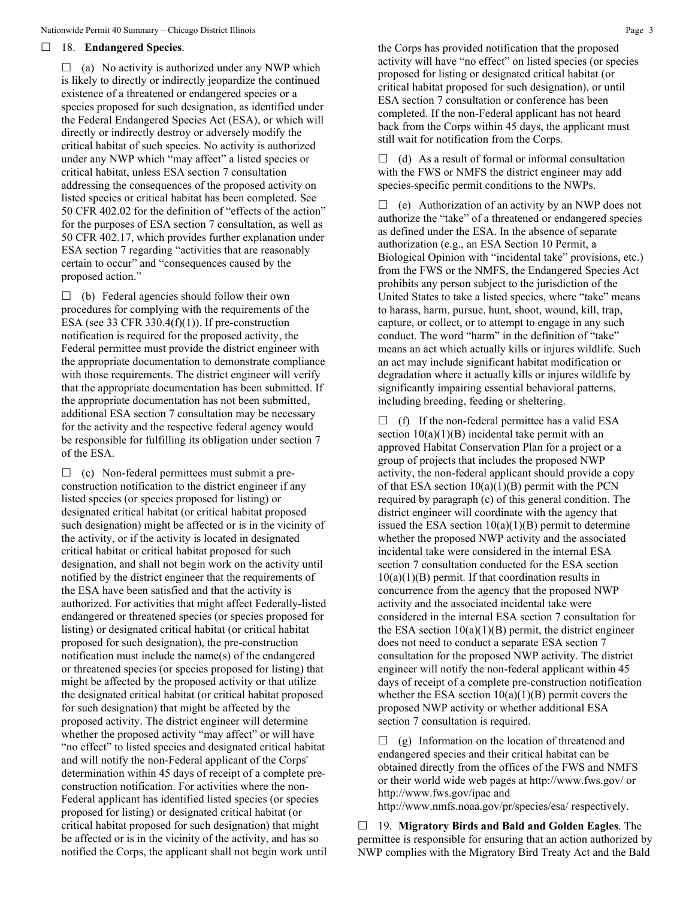#### 18. **Endangered Species**.

 $\Box$  (a) No activity is authorized under any NWP which is likely to directly or indirectly jeopardize the continued existence of a threatened or endangered species or a species proposed for such designation, as identified under the Federal Endangered Species Act (ESA), or which will directly or indirectly destroy or adversely modify the critical habitat of such species. No activity is authorized under any NWP which "may affect" a listed species or critical habitat, unless ESA section 7 consultation addressing the consequences of the proposed activity on listed species or critical habitat has been completed. See 50 CFR 402.02 for the definition of "effects of the action" for the purposes of ESA section 7 consultation, as well as 50 CFR 402.17, which provides further explanation under ESA section 7 regarding "activities that are reasonably certain to occur" and "consequences caused by the proposed action."

 $\Box$  (b) Federal agencies should follow their own procedures for complying with the requirements of the ESA (see 33 CFR 330.4 $(f)(1)$ ). If pre-construction notification is required for the proposed activity, the Federal permittee must provide the district engineer with the appropriate documentation to demonstrate compliance with those requirements. The district engineer will verify that the appropriate documentation has been submitted. If the appropriate documentation has not been submitted, additional ESA section 7 consultation may be necessary for the activity and the respective federal agency would be responsible for fulfilling its obligation under section 7 of the ESA.

 $\Box$  (c) Non-federal permittees must submit a preconstruction notification to the district engineer if any listed species (or species proposed for listing) or designated critical habitat (or critical habitat proposed such designation) might be affected or is in the vicinity of the activity, or if the activity is located in designated critical habitat or critical habitat proposed for such designation, and shall not begin work on the activity until notified by the district engineer that the requirements of the ESA have been satisfied and that the activity is authorized. For activities that might affect Federally-listed endangered or threatened species (or species proposed for listing) or designated critical habitat (or critical habitat proposed for such designation), the pre-construction notification must include the name(s) of the endangered or threatened species (or species proposed for listing) that might be affected by the proposed activity or that utilize the designated critical habitat (or critical habitat proposed for such designation) that might be affected by the proposed activity. The district engineer will determine whether the proposed activity "may affect" or will have "no effect" to listed species and designated critical habitat and will notify the non-Federal applicant of the Corps' determination within 45 days of receipt of a complete preconstruction notification. For activities where the non-Federal applicant has identified listed species (or species proposed for listing) or designated critical habitat (or critical habitat proposed for such designation) that might be affected or is in the vicinity of the activity, and has so notified the Corps, the applicant shall not begin work until the Corps has provided notification that the proposed activity will have "no effect" on listed species (or species proposed for listing or designated critical habitat (or critical habitat proposed for such designation), or until ESA section 7 consultation or conference has been completed. If the non-Federal applicant has not heard back from the Corps within 45 days, the applicant must still wait for notification from the Corps.

 $\Box$  (d) As a result of formal or informal consultation with the FWS or NMFS the district engineer may add species-specific permit conditions to the NWPs.

 $\Box$  (e) Authorization of an activity by an NWP does not authorize the "take" of a threatened or endangered species as defined under the ESA. In the absence of separate authorization (e.g., an ESA Section 10 Permit, a Biological Opinion with "incidental take" provisions, etc.) from the FWS or the NMFS, the Endangered Species Act prohibits any person subject to the jurisdiction of the United States to take a listed species, where "take" means to harass, harm, pursue, hunt, shoot, wound, kill, trap, capture, or collect, or to attempt to engage in any such conduct. The word "harm" in the definition of "take" means an act which actually kills or injures wildlife. Such an act may include significant habitat modification or degradation where it actually kills or injures wildlife by significantly impairing essential behavioral patterns, including breeding, feeding or sheltering.

 $\Box$  (f) If the non-federal permittee has a valid ESA section  $10(a)(1)(B)$  incidental take permit with an approved Habitat Conservation Plan for a project or a group of projects that includes the proposed NWP activity, the non-federal applicant should provide a copy of that ESA section  $10(a)(1)(B)$  permit with the PCN required by paragraph (c) of this general condition. The district engineer will coordinate with the agency that issued the ESA section  $10(a)(1)(B)$  permit to determine whether the proposed NWP activity and the associated incidental take were considered in the internal ESA section 7 consultation conducted for the ESA section  $10(a)(1)(B)$  permit. If that coordination results in concurrence from the agency that the proposed NWP activity and the associated incidental take were considered in the internal ESA section 7 consultation for the ESA section  $10(a)(1)(B)$  permit, the district engineer does not need to conduct a separate ESA section 7 consultation for the proposed NWP activity. The district engineer will notify the non-federal applicant within 45 days of receipt of a complete pre-construction notification whether the ESA section  $10(a)(1)(B)$  permit covers the proposed NWP activity or whether additional ESA section 7 consultation is required.

 $\Box$  (g) Information on the location of threatened and endangered species and their critical habitat can be obtained directly from the offices of the FWS and NMFS or their world wide web pages at http://www.fws.gov/ or http://www.fws.gov/ipac and

http://www.nmfs.noaa.gov/pr/species/esa/ respectively.

 19. **Migratory Birds and Bald and Golden Eagles**. The permittee is responsible for ensuring that an action authorized by NWP complies with the Migratory Bird Treaty Act and the Bald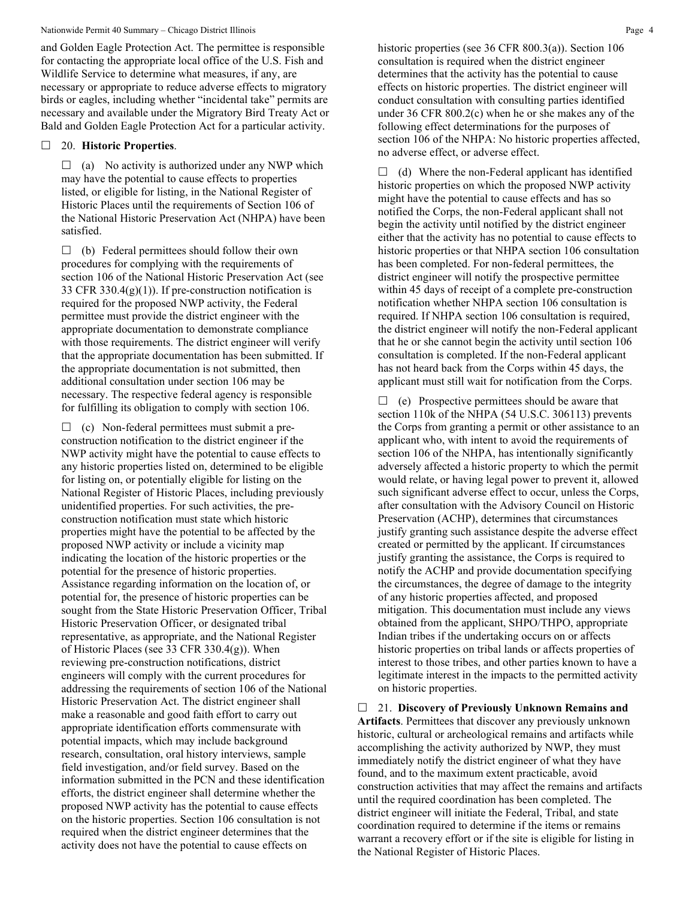and Golden Eagle Protection Act. The permittee is responsible for contacting the appropriate local office of the U.S. Fish and Wildlife Service to determine what measures, if any, are necessary or appropriate to reduce adverse effects to migratory birds or eagles, including whether "incidental take" permits are necessary and available under the Migratory Bird Treaty Act or Bald and Golden Eagle Protection Act for a particular activity.

#### 20. **Historic Properties**.

 $\Box$  (a) No activity is authorized under any NWP which may have the potential to cause effects to properties listed, or eligible for listing, in the National Register of Historic Places until the requirements of Section 106 of the National Historic Preservation Act (NHPA) have been satisfied.

 $\Box$  (b) Federal permittees should follow their own procedures for complying with the requirements of section 106 of the National Historic Preservation Act (see 33 CFR 330.4(g)(1)). If pre-construction notification is required for the proposed NWP activity, the Federal permittee must provide the district engineer with the appropriate documentation to demonstrate compliance with those requirements. The district engineer will verify that the appropriate documentation has been submitted. If the appropriate documentation is not submitted, then additional consultation under section 106 may be necessary. The respective federal agency is responsible for fulfilling its obligation to comply with section 106.

 $\Box$  (c) Non-federal permittees must submit a preconstruction notification to the district engineer if the NWP activity might have the potential to cause effects to any historic properties listed on, determined to be eligible for listing on, or potentially eligible for listing on the National Register of Historic Places, including previously unidentified properties. For such activities, the preconstruction notification must state which historic properties might have the potential to be affected by the proposed NWP activity or include a vicinity map indicating the location of the historic properties or the potential for the presence of historic properties. Assistance regarding information on the location of, or potential for, the presence of historic properties can be sought from the State Historic Preservation Officer, Tribal Historic Preservation Officer, or designated tribal representative, as appropriate, and the National Register of Historic Places (see 33 CFR 330.4(g)). When reviewing pre-construction notifications, district engineers will comply with the current procedures for addressing the requirements of section 106 of the National Historic Preservation Act. The district engineer shall make a reasonable and good faith effort to carry out appropriate identification efforts commensurate with potential impacts, which may include background research, consultation, oral history interviews, sample field investigation, and/or field survey. Based on the information submitted in the PCN and these identification efforts, the district engineer shall determine whether the proposed NWP activity has the potential to cause effects on the historic properties. Section 106 consultation is not required when the district engineer determines that the activity does not have the potential to cause effects on

historic properties (see 36 CFR 800.3(a)). Section 106 consultation is required when the district engineer determines that the activity has the potential to cause effects on historic properties. The district engineer will conduct consultation with consulting parties identified under 36 CFR 800.2(c) when he or she makes any of the following effect determinations for the purposes of section 106 of the NHPA: No historic properties affected, no adverse effect, or adverse effect.

 $\Box$  (d) Where the non-Federal applicant has identified historic properties on which the proposed NWP activity might have the potential to cause effects and has so notified the Corps, the non-Federal applicant shall not begin the activity until notified by the district engineer either that the activity has no potential to cause effects to historic properties or that NHPA section 106 consultation has been completed. For non-federal permittees, the district engineer will notify the prospective permittee within 45 days of receipt of a complete pre-construction notification whether NHPA section 106 consultation is required. If NHPA section 106 consultation is required, the district engineer will notify the non-Federal applicant that he or she cannot begin the activity until section 106 consultation is completed. If the non-Federal applicant has not heard back from the Corps within 45 days, the applicant must still wait for notification from the Corps.

 $\Box$  (e) Prospective permittees should be aware that section 110k of the NHPA (54 U.S.C. 306113) prevents the Corps from granting a permit or other assistance to an applicant who, with intent to avoid the requirements of section 106 of the NHPA, has intentionally significantly adversely affected a historic property to which the permit would relate, or having legal power to prevent it, allowed such significant adverse effect to occur, unless the Corps, after consultation with the Advisory Council on Historic Preservation (ACHP), determines that circumstances justify granting such assistance despite the adverse effect created or permitted by the applicant. If circumstances justify granting the assistance, the Corps is required to notify the ACHP and provide documentation specifying the circumstances, the degree of damage to the integrity of any historic properties affected, and proposed mitigation. This documentation must include any views obtained from the applicant, SHPO/THPO, appropriate Indian tribes if the undertaking occurs on or affects historic properties on tribal lands or affects properties of interest to those tribes, and other parties known to have a legitimate interest in the impacts to the permitted activity on historic properties.

 21. **Discovery of Previously Unknown Remains and Artifacts**. Permittees that discover any previously unknown historic, cultural or archeological remains and artifacts while accomplishing the activity authorized by NWP, they must immediately notify the district engineer of what they have found, and to the maximum extent practicable, avoid construction activities that may affect the remains and artifacts until the required coordination has been completed. The district engineer will initiate the Federal, Tribal, and state coordination required to determine if the items or remains warrant a recovery effort or if the site is eligible for listing in the National Register of Historic Places.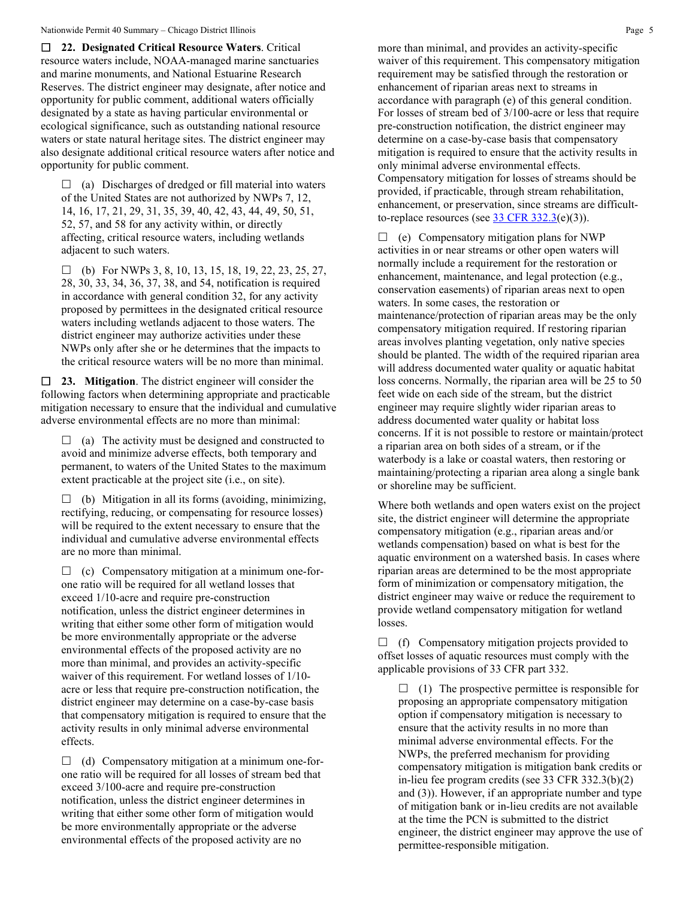**22. Designated Critical Resource Waters**. Critical resource waters include, NOAA-managed marine sanctuaries and marine monuments, and National Estuarine Research Reserves. The district engineer may designate, after notice and opportunity for public comment, additional waters officially designated by a state as having particular environmental or ecological significance, such as outstanding national resource waters or state natural heritage sites. The district engineer may also designate additional critical resource waters after notice and opportunity for public comment.

 $\Box$  (a) Discharges of dredged or fill material into waters of the United States are not authorized by NWPs 7, 12, 14, 16, 17, 21, 29, 31, 35, 39, 40, 42, 43, 44, 49, 50, 51, 52, 57, and 58 for any activity within, or directly affecting, critical resource waters, including wetlands adjacent to such waters.

 $\Box$  (b) For NWPs 3, 8, 10, 13, 15, 18, 19, 22, 23, 25, 27, 28, 30, 33, 34, 36, 37, 38, and 54, notification is required in accordance with general condition 32, for any activity proposed by permittees in the designated critical resource waters including wetlands adjacent to those waters. The district engineer may authorize activities under these NWPs only after she or he determines that the impacts to the critical resource waters will be no more than minimal.

 **23. Mitigation**. The district engineer will consider the following factors when determining appropriate and practicable mitigation necessary to ensure that the individual and cumulative adverse environmental effects are no more than minimal:

 $\Box$  (a) The activity must be designed and constructed to avoid and minimize adverse effects, both temporary and permanent, to waters of the United States to the maximum extent practicable at the project site (i.e., on site).

 $\Box$  (b) Mitigation in all its forms (avoiding, minimizing, rectifying, reducing, or compensating for resource losses) will be required to the extent necessary to ensure that the individual and cumulative adverse environmental effects are no more than minimal.

 $\Box$  (c) Compensatory mitigation at a minimum one-forone ratio will be required for all wetland losses that exceed 1/10-acre and require pre-construction notification, unless the district engineer determines in writing that either some other form of mitigation would be more environmentally appropriate or the adverse environmental effects of the proposed activity are no more than minimal, and provides an activity-specific waiver of this requirement. For wetland losses of 1/10 acre or less that require pre-construction notification, the district engineer may determine on a case-by-case basis that compensatory mitigation is required to ensure that the activity results in only minimal adverse environmental effects.

 $\Box$  (d) Compensatory mitigation at a minimum one-forone ratio will be required for all losses of stream bed that exceed 3/100-acre and require pre-construction notification, unless the district engineer determines in writing that either some other form of mitigation would be more environmentally appropriate or the adverse environmental effects of the proposed activity are no

more than minimal, and provides an activity-specific waiver of this requirement. This compensatory mitigation requirement may be satisfied through the restoration or enhancement of riparian areas next to streams in accordance with paragraph (e) of this general condition. For losses of stream bed of 3/100-acre or less that require pre-construction notification, the district engineer may determine on a case-by-case basis that compensatory mitigation is required to ensure that the activity results in only minimal adverse environmental effects. Compensatory mitigation for losses of streams should be provided, if practicable, through stream rehabilitation, enhancement, or preservation, since streams are difficultto-replace resources (see  $\frac{33 \text{ CFR } 332.3(e)(3)}{25}$ .

 $\Box$  (e) Compensatory mitigation plans for NWP activities in or near streams or other open waters will normally include a requirement for the restoration or enhancement, maintenance, and legal protection (e.g., conservation easements) of riparian areas next to open waters. In some cases, the restoration or maintenance/protection of riparian areas may be the only compensatory mitigation required. If restoring riparian areas involves planting vegetation, only native species should be planted. The width of the required riparian area will address documented water quality or aquatic habitat loss concerns. Normally, the riparian area will be 25 to 50 feet wide on each side of the stream, but the district engineer may require slightly wider riparian areas to address documented water quality or habitat loss concerns. If it is not possible to restore or maintain/protect a riparian area on both sides of a stream, or if the waterbody is a lake or coastal waters, then restoring or maintaining/protecting a riparian area along a single bank or shoreline may be sufficient.

Where both wetlands and open waters exist on the project site, the district engineer will determine the appropriate compensatory mitigation (e.g., riparian areas and/or wetlands compensation) based on what is best for the aquatic environment on a watershed basis. In cases where riparian areas are determined to be the most appropriate form of minimization or compensatory mitigation, the district engineer may waive or reduce the requirement to provide wetland compensatory mitigation for wetland losses.

 $\Box$  (f) Compensatory mitigation projects provided to offset losses of aquatic resources must comply with the applicable provisions of 33 CFR part 332.

 $\Box$  (1) The prospective permittee is responsible for proposing an appropriate compensatory mitigation option if compensatory mitigation is necessary to ensure that the activity results in no more than minimal adverse environmental effects. For the NWPs, the preferred mechanism for providing compensatory mitigation is mitigation bank credits or in-lieu fee program credits (see 33 CFR 332.3(b)(2) and (3)). However, if an appropriate number and type of mitigation bank or in-lieu credits are not available at the time the PCN is submitted to the district engineer, the district engineer may approve the use of permittee-responsible mitigation.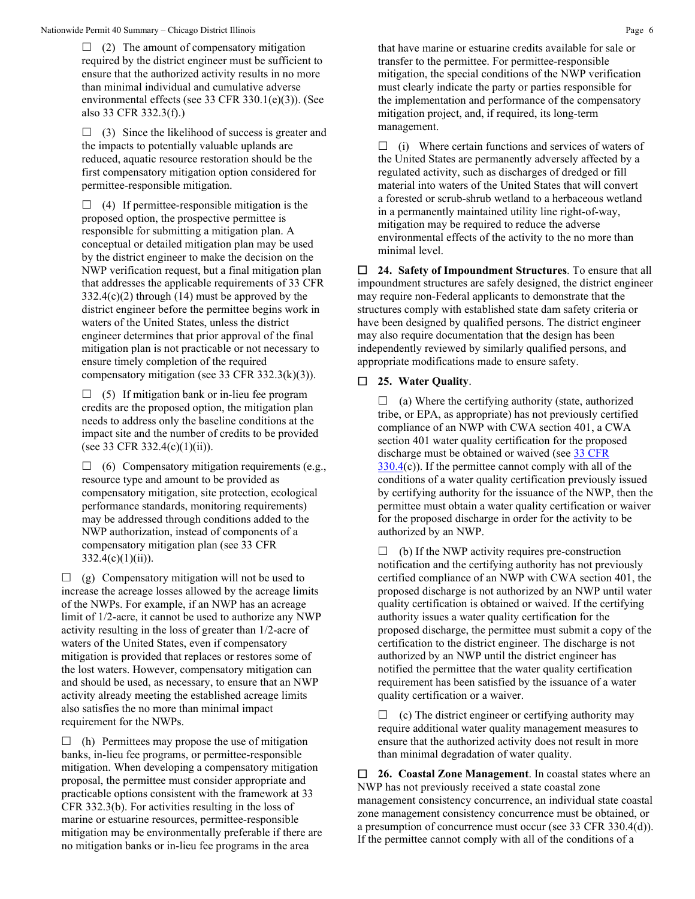$\Box$  (2) The amount of compensatory mitigation required by the district engineer must be sufficient to ensure that the authorized activity results in no more than minimal individual and cumulative adverse environmental effects (see 33 CFR 330.1(e)(3)). (See also 33 CFR 332.3(f).)

 $\Box$  (3) Since the likelihood of success is greater and the impacts to potentially valuable uplands are reduced, aquatic resource restoration should be the first compensatory mitigation option considered for permittee-responsible mitigation.

 $\Box$  (4) If permittee-responsible mitigation is the proposed option, the prospective permittee is responsible for submitting a mitigation plan. A conceptual or detailed mitigation plan may be used by the district engineer to make the decision on the NWP verification request, but a final mitigation plan that addresses the applicable requirements of 33 CFR  $332.4(c)(2)$  through (14) must be approved by the district engineer before the permittee begins work in waters of the United States, unless the district engineer determines that prior approval of the final mitigation plan is not practicable or not necessary to ensure timely completion of the required compensatory mitigation (see 33 CFR 332.3(k)(3)).

 $\Box$  (5) If mitigation bank or in-lieu fee program credits are the proposed option, the mitigation plan needs to address only the baseline conditions at the impact site and the number of credits to be provided (see 33 CFR 332.4(c)(1)(ii)).

 $\Box$  (6) Compensatory mitigation requirements (e.g., resource type and amount to be provided as compensatory mitigation, site protection, ecological performance standards, monitoring requirements) may be addressed through conditions added to the NWP authorization, instead of components of a compensatory mitigation plan (see 33 CFR  $332.4(c)(1)(ii)$ ).

 $\Box$  (g) Compensatory mitigation will not be used to increase the acreage losses allowed by the acreage limits of the NWPs. For example, if an NWP has an acreage limit of 1/2-acre, it cannot be used to authorize any NWP activity resulting in the loss of greater than 1/2-acre of waters of the United States, even if compensatory mitigation is provided that replaces or restores some of the lost waters. However, compensatory mitigation can and should be used, as necessary, to ensure that an NWP activity already meeting the established acreage limits also satisfies the no more than minimal impact requirement for the NWPs.

 $\Box$  (h) Permittees may propose the use of mitigation banks, in-lieu fee programs, or permittee-responsible mitigation. When developing a compensatory mitigation proposal, the permittee must consider appropriate and practicable options consistent with the framework at 33 CFR 332.3(b). For activities resulting in the loss of marine or estuarine resources, permittee-responsible mitigation may be environmentally preferable if there are no mitigation banks or in-lieu fee programs in the area

that have marine or estuarine credits available for sale or transfer to the permittee. For permittee-responsible mitigation, the special conditions of the NWP verification must clearly indicate the party or parties responsible for the implementation and performance of the compensatory mitigation project, and, if required, its long-term management.

 $\Box$  (i) Where certain functions and services of waters of the United States are permanently adversely affected by a regulated activity, such as discharges of dredged or fill material into waters of the United States that will convert a forested or scrub-shrub wetland to a herbaceous wetland in a permanently maintained utility line right-of-way, mitigation may be required to reduce the adverse environmental effects of the activity to the no more than minimal level.

 **24. Safety of Impoundment Structures**. To ensure that all impoundment structures are safely designed, the district engineer may require non-Federal applicants to demonstrate that the structures comply with established state dam safety criteria or have been designed by qualified persons. The district engineer may also require documentation that the design has been independently reviewed by similarly qualified persons, and appropriate modifications made to ensure safety.

#### **25. Water Quality**.

 $\Box$  (a) Where the certifying authority (state, authorized tribe, or EPA, as appropriate) has not previously certified compliance of an NWP with CWA section 401, a CWA section 401 water quality certification for the proposed discharge must be obtained or waived (see 33 CFR  $330.4(c)$  $330.4(c)$ ). If the permittee cannot comply with all of the conditions of a water quality certification previously issued by certifying authority for the issuance of the NWP, then the permittee must obtain a water quality certification or waiver for the proposed discharge in order for the activity to be authorized by an NWP.

 $\Box$  (b) If the NWP activity requires pre-construction notification and the certifying authority has not previously certified compliance of an NWP with CWA section 401, the proposed discharge is not authorized by an NWP until water quality certification is obtained or waived. If the certifying authority issues a water quality certification for the proposed discharge, the permittee must submit a copy of the certification to the district engineer. The discharge is not authorized by an NWP until the district engineer has notified the permittee that the water quality certification requirement has been satisfied by the issuance of a water quality certification or a waiver.

 $\Box$  (c) The district engineer or certifying authority may require additional water quality management measures to ensure that the authorized activity does not result in more than minimal degradation of water quality.

 **26. Coastal Zone Management**. In coastal states where an NWP has not previously received a state coastal zone management consistency concurrence, an individual state coastal zone management consistency concurrence must be obtained, or a presumption of concurrence must occur (see 33 CFR 330.4(d)). If the permittee cannot comply with all of the conditions of a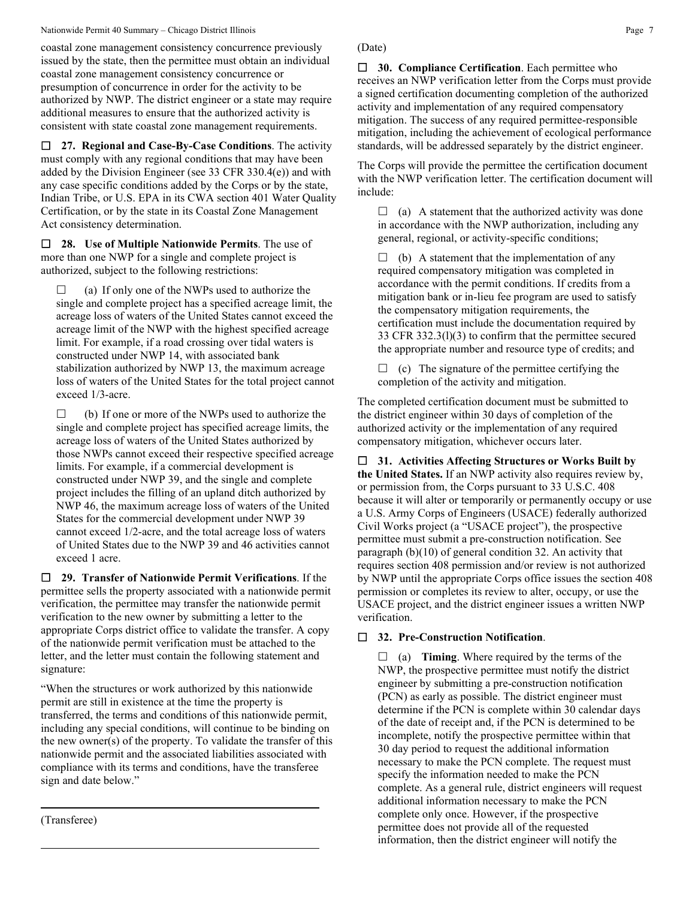#### Nationwide Permit 40 Summary – Chicago District Illinois **Page 7** Page 7

coastal zone management consistency concurrence previously issued by the state, then the permittee must obtain an individual coastal zone management consistency concurrence or presumption of concurrence in order for the activity to be authorized by NWP. The district engineer or a state may require additional measures to ensure that the authorized activity is consistent with state coastal zone management requirements.

 **27. Regional and Case-By-Case Conditions**. The activity must comply with any regional conditions that may have been added by the Division Engineer (see 33 CFR 330.4(e)) and with any case specific conditions added by the Corps or by the state, Indian Tribe, or U.S. EPA in its CWA section 401 Water Quality Certification, or by the state in its Coastal Zone Management Act consistency determination.

 **28. Use of Multiple Nationwide Permits**. The use of more than one NWP for a single and complete project is authorized, subject to the following restrictions:

 $\Box$  (a) If only one of the NWPs used to authorize the single and complete project has a specified acreage limit, the acreage loss of waters of the United States cannot exceed the acreage limit of the NWP with the highest specified acreage limit. For example, if a road crossing over tidal waters is constructed under NWP 14, with associated bank stabilization authorized by NWP 13, the maximum acreage loss of waters of the United States for the total project cannot exceed 1/3-acre.

 $\Box$  (b) If one or more of the NWPs used to authorize the single and complete project has specified acreage limits, the acreage loss of waters of the United States authorized by those NWPs cannot exceed their respective specified acreage limits. For example, if a commercial development is constructed under NWP 39, and the single and complete project includes the filling of an upland ditch authorized by NWP 46, the maximum acreage loss of waters of the United States for the commercial development under NWP 39 cannot exceed 1/2-acre, and the total acreage loss of waters of United States due to the NWP 39 and 46 activities cannot exceed 1 acre.

 **29. Transfer of Nationwide Permit Verifications**. If the permittee sells the property associated with a nationwide permit verification, the permittee may transfer the nationwide permit verification to the new owner by submitting a letter to the appropriate Corps district office to validate the transfer. A copy of the nationwide permit verification must be attached to the letter, and the letter must contain the following statement and signature:

"When the structures or work authorized by this nationwide permit are still in existence at the time the property is transferred, the terms and conditions of this nationwide permit, including any special conditions, will continue to be binding on the new owner(s) of the property. To validate the transfer of this nationwide permit and the associated liabilities associated with compliance with its terms and conditions, have the transferee sign and date below."

(Transferee)

# (Date)

 **30. Compliance Certification**. Each permittee who receives an NWP verification letter from the Corps must provide a signed certification documenting completion of the authorized activity and implementation of any required compensatory mitigation. The success of any required permittee-responsible mitigation, including the achievement of ecological performance standards, will be addressed separately by the district engineer.

The Corps will provide the permittee the certification document with the NWP verification letter. The certification document will include:

 $\Box$  (a) A statement that the authorized activity was done in accordance with the NWP authorization, including any general, regional, or activity-specific conditions;

 $\Box$  (b) A statement that the implementation of any required compensatory mitigation was completed in accordance with the permit conditions. If credits from a mitigation bank or in-lieu fee program are used to satisfy the compensatory mitigation requirements, the certification must include the documentation required by 33 CFR 332.3(l)(3) to confirm that the permittee secured the appropriate number and resource type of credits; and

 $\Box$  (c) The signature of the permittee certifying the completion of the activity and mitigation.

The completed certification document must be submitted to the district engineer within 30 days of completion of the authorized activity or the implementation of any required compensatory mitigation, whichever occurs later.

 **31. Activities Affecting Structures or Works Built by the United States.** If an NWP activity also requires review by, or permission from, the Corps pursuant to 33 U.S.C. 408 because it will alter or temporarily or permanently occupy or use a U.S. Army Corps of Engineers (USACE) federally authorized Civil Works project (a "USACE project"), the prospective permittee must submit a pre-construction notification. See paragraph (b)(10) of general condition 32. An activity that requires section 408 permission and/or review is not authorized by NWP until the appropriate Corps office issues the section 408 permission or completes its review to alter, occupy, or use the USACE project, and the district engineer issues a written NWP verification.

#### **32. Pre-Construction Notification**.

 $\Box$  (a) **Timing**. Where required by the terms of the NWP, the prospective permittee must notify the district engineer by submitting a pre-construction notification (PCN) as early as possible. The district engineer must determine if the PCN is complete within 30 calendar days of the date of receipt and, if the PCN is determined to be incomplete, notify the prospective permittee within that 30 day period to request the additional information necessary to make the PCN complete. The request must specify the information needed to make the PCN complete. As a general rule, district engineers will request additional information necessary to make the PCN complete only once. However, if the prospective permittee does not provide all of the requested information, then the district engineer will notify the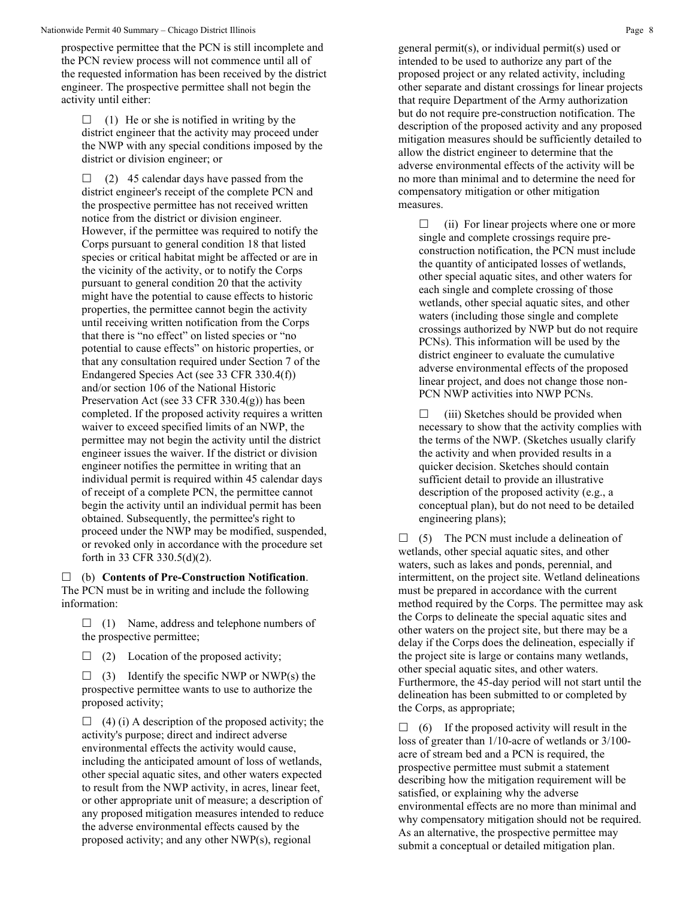prospective permittee that the PCN is still incomplete and the PCN review process will not commence until all of the requested information has been received by the district engineer. The prospective permittee shall not begin the activity until either:

 $\Box$  (1) He or she is notified in writing by the district engineer that the activity may proceed under the NWP with any special conditions imposed by the district or division engineer; or

 $\Box$  (2) 45 calendar days have passed from the district engineer's receipt of the complete PCN and the prospective permittee has not received written notice from the district or division engineer. However, if the permittee was required to notify the Corps pursuant to general condition 18 that listed species or critical habitat might be affected or are in the vicinity of the activity, or to notify the Corps pursuant to general condition 20 that the activity might have the potential to cause effects to historic properties, the permittee cannot begin the activity until receiving written notification from the Corps that there is "no effect" on listed species or "no potential to cause effects" on historic properties, or that any consultation required under Section 7 of the Endangered Species Act (see 33 CFR 330.4(f)) and/or section 106 of the National Historic Preservation Act (see 33 CFR 330.4(g)) has been completed. If the proposed activity requires a written waiver to exceed specified limits of an NWP, the permittee may not begin the activity until the district engineer issues the waiver. If the district or division engineer notifies the permittee in writing that an individual permit is required within 45 calendar days of receipt of a complete PCN, the permittee cannot begin the activity until an individual permit has been obtained. Subsequently, the permittee's right to proceed under the NWP may be modified, suspended, or revoked only in accordance with the procedure set forth in 33 CFR 330.5(d)(2).

 (b) **Contents of Pre-Construction Notification**. The PCN must be in writing and include the following information:

 $\Box$  (1) Name, address and telephone numbers of the prospective permittee;

 $\Box$  (2) Location of the proposed activity;

 $\Box$  (3) Identify the specific NWP or NWP(s) the prospective permittee wants to use to authorize the proposed activity;

 $\Box$  (4) (i) A description of the proposed activity; the activity's purpose; direct and indirect adverse environmental effects the activity would cause, including the anticipated amount of loss of wetlands, other special aquatic sites, and other waters expected to result from the NWP activity, in acres, linear feet, or other appropriate unit of measure; a description of any proposed mitigation measures intended to reduce the adverse environmental effects caused by the proposed activity; and any other NWP(s), regional

general permit(s), or individual permit(s) used or intended to be used to authorize any part of the proposed project or any related activity, including other separate and distant crossings for linear projects that require Department of the Army authorization but do not require pre-construction notification. The description of the proposed activity and any proposed mitigation measures should be sufficiently detailed to allow the district engineer to determine that the adverse environmental effects of the activity will be no more than minimal and to determine the need for compensatory mitigation or other mitigation measures.

 $\Box$  (ii) For linear projects where one or more single and complete crossings require preconstruction notification, the PCN must include the quantity of anticipated losses of wetlands, other special aquatic sites, and other waters for each single and complete crossing of those wetlands, other special aquatic sites, and other waters (including those single and complete crossings authorized by NWP but do not require PCNs). This information will be used by the district engineer to evaluate the cumulative adverse environmental effects of the proposed linear project, and does not change those non-PCN NWP activities into NWP PCNs.

 $\Box$  (iii) Sketches should be provided when necessary to show that the activity complies with the terms of the NWP. (Sketches usually clarify the activity and when provided results in a quicker decision. Sketches should contain sufficient detail to provide an illustrative description of the proposed activity (e.g., a conceptual plan), but do not need to be detailed engineering plans);

 $\Box$  (5) The PCN must include a delineation of wetlands, other special aquatic sites, and other waters, such as lakes and ponds, perennial, and intermittent, on the project site. Wetland delineations must be prepared in accordance with the current method required by the Corps. The permittee may ask the Corps to delineate the special aquatic sites and other waters on the project site, but there may be a delay if the Corps does the delineation, especially if the project site is large or contains many wetlands, other special aquatic sites, and other waters. Furthermore, the 45-day period will not start until the delineation has been submitted to or completed by the Corps, as appropriate;

 $\Box$  (6) If the proposed activity will result in the loss of greater than 1/10-acre of wetlands or 3/100 acre of stream bed and a PCN is required, the prospective permittee must submit a statement describing how the mitigation requirement will be satisfied, or explaining why the adverse environmental effects are no more than minimal and why compensatory mitigation should not be required. As an alternative, the prospective permittee may submit a conceptual or detailed mitigation plan.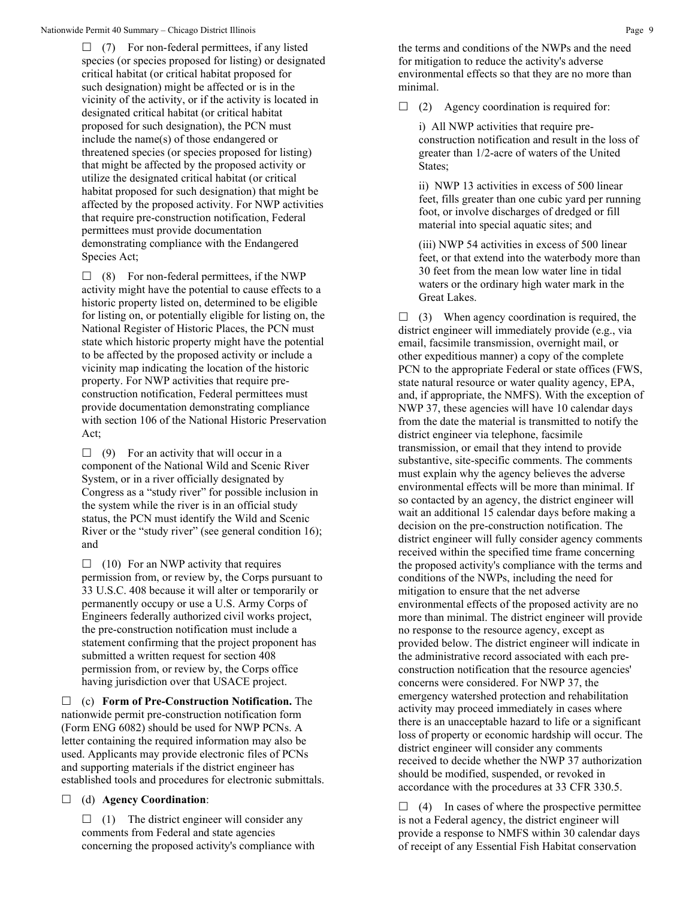$\Box$  (7) For non-federal permittees, if any listed species (or species proposed for listing) or designated critical habitat (or critical habitat proposed for such designation) might be affected or is in the vicinity of the activity, or if the activity is located in designated critical habitat (or critical habitat proposed for such designation), the PCN must include the name(s) of those endangered or threatened species (or species proposed for listing) that might be affected by the proposed activity or utilize the designated critical habitat (or critical habitat proposed for such designation) that might be affected by the proposed activity. For NWP activities that require pre-construction notification, Federal permittees must provide documentation demonstrating compliance with the Endangered Species Act;

 $\Box$  (8) For non-federal permittees, if the NWP activity might have the potential to cause effects to a historic property listed on, determined to be eligible for listing on, or potentially eligible for listing on, the National Register of Historic Places, the PCN must state which historic property might have the potential to be affected by the proposed activity or include a vicinity map indicating the location of the historic property. For NWP activities that require preconstruction notification, Federal permittees must provide documentation demonstrating compliance with section 106 of the National Historic Preservation Act;

 $\Box$  (9) For an activity that will occur in a component of the National Wild and Scenic River System, or in a river officially designated by Congress as a "study river" for possible inclusion in the system while the river is in an official study status, the PCN must identify the Wild and Scenic River or the "study river" (see general condition 16); and

 $\Box$  (10) For an NWP activity that requires permission from, or review by, the Corps pursuant to 33 U.S.C. 408 because it will alter or temporarily or permanently occupy or use a U.S. Army Corps of Engineers federally authorized civil works project, the pre-construction notification must include a statement confirming that the project proponent has submitted a written request for section 408 permission from, or review by, the Corps office having jurisdiction over that USACE project.

 (c) **Form of Pre-Construction Notification.** The nationwide permit pre-construction notification form (Form ENG 6082) should be used for NWP PCNs. A letter containing the required information may also be used. Applicants may provide electronic files of PCNs and supporting materials if the district engineer has established tools and procedures for electronic submittals.

(d) **Agency Coordination**:

 $\Box$  (1) The district engineer will consider any comments from Federal and state agencies concerning the proposed activity's compliance with the terms and conditions of the NWPs and the need for mitigation to reduce the activity's adverse environmental effects so that they are no more than minimal.

 $\Box$  (2) Agency coordination is required for:

i) All NWP activities that require preconstruction notification and result in the loss of greater than 1/2-acre of waters of the United States;

ii) NWP 13 activities in excess of 500 linear feet, fills greater than one cubic yard per running foot, or involve discharges of dredged or fill material into special aquatic sites; and

(iii) NWP 54 activities in excess of 500 linear feet, or that extend into the waterbody more than 30 feet from the mean low water line in tidal waters or the ordinary high water mark in the Great Lakes.

 $\Box$  (3) When agency coordination is required, the district engineer will immediately provide (e.g., via email, facsimile transmission, overnight mail, or other expeditious manner) a copy of the complete PCN to the appropriate Federal or state offices (FWS, state natural resource or water quality agency, EPA, and, if appropriate, the NMFS). With the exception of NWP 37, these agencies will have 10 calendar days from the date the material is transmitted to notify the district engineer via telephone, facsimile transmission, or email that they intend to provide substantive, site-specific comments. The comments must explain why the agency believes the adverse environmental effects will be more than minimal. If so contacted by an agency, the district engineer will wait an additional 15 calendar days before making a decision on the pre-construction notification. The district engineer will fully consider agency comments received within the specified time frame concerning the proposed activity's compliance with the terms and conditions of the NWPs, including the need for mitigation to ensure that the net adverse environmental effects of the proposed activity are no more than minimal. The district engineer will provide no response to the resource agency, except as provided below. The district engineer will indicate in the administrative record associated with each preconstruction notification that the resource agencies' concerns were considered. For NWP 37, the emergency watershed protection and rehabilitation activity may proceed immediately in cases where there is an unacceptable hazard to life or a significant loss of property or economic hardship will occur. The district engineer will consider any comments received to decide whether the NWP 37 authorization should be modified, suspended, or revoked in accordance with the procedures at 33 CFR 330.5.

 $\Box$  (4) In cases of where the prospective permittee is not a Federal agency, the district engineer will provide a response to NMFS within 30 calendar days of receipt of any Essential Fish Habitat conservation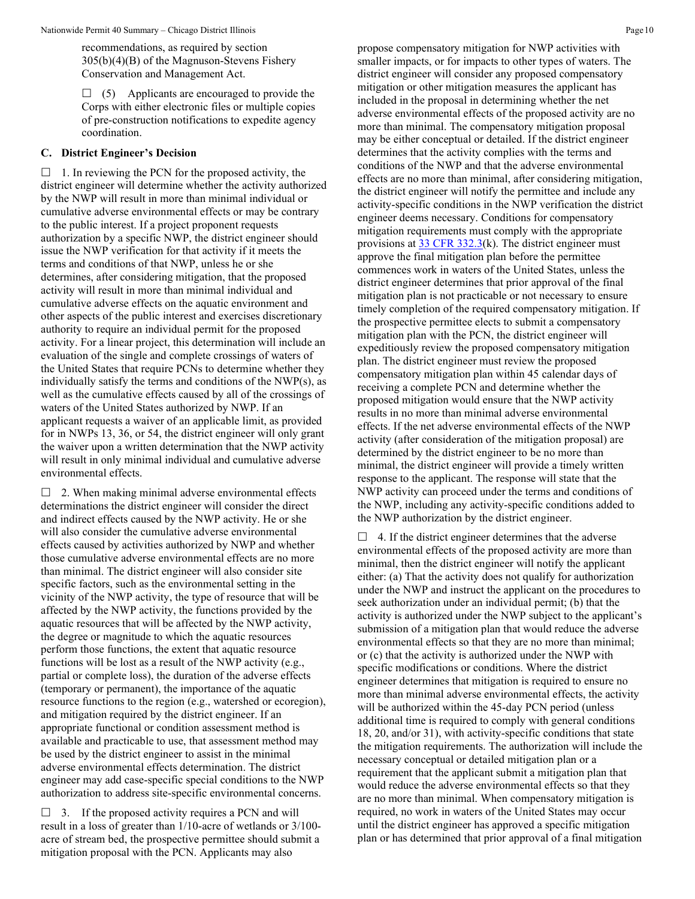recommendations, as required by section 305(b)(4)(B) of the Magnuson-Stevens Fishery Conservation and Management Act.

 $\Box$  (5) Applicants are encouraged to provide the Corps with either electronic files or multiple copies of pre-construction notifications to expedite agency coordination.

#### **C. District Engineer's Decision**

 $\Box$  1. In reviewing the PCN for the proposed activity, the district engineer will determine whether the activity authorized by the NWP will result in more than minimal individual or cumulative adverse environmental effects or may be contrary to the public interest. If a project proponent requests authorization by a specific NWP, the district engineer should issue the NWP verification for that activity if it meets the terms and conditions of that NWP, unless he or she determines, after considering mitigation, that the proposed activity will result in more than minimal individual and cumulative adverse effects on the aquatic environment and other aspects of the public interest and exercises discretionary authority to require an individual permit for the proposed activity. For a linear project, this determination will include an evaluation of the single and complete crossings of waters of the United States that require PCNs to determine whether they individually satisfy the terms and conditions of the NWP(s), as well as the cumulative effects caused by all of the crossings of waters of the United States authorized by NWP. If an applicant requests a waiver of an applicable limit, as provided for in NWPs 13, 36, or 54, the district engineer will only grant the waiver upon a written determination that the NWP activity will result in only minimal individual and cumulative adverse environmental effects.

 $\Box$  2. When making minimal adverse environmental effects determinations the district engineer will consider the direct and indirect effects caused by the NWP activity. He or she will also consider the cumulative adverse environmental effects caused by activities authorized by NWP and whether those cumulative adverse environmental effects are no more than minimal. The district engineer will also consider site specific factors, such as the environmental setting in the vicinity of the NWP activity, the type of resource that will be affected by the NWP activity, the functions provided by the aquatic resources that will be affected by the NWP activity, the degree or magnitude to which the aquatic resources perform those functions, the extent that aquatic resource functions will be lost as a result of the NWP activity (e.g., partial or complete loss), the duration of the adverse effects (temporary or permanent), the importance of the aquatic resource functions to the region (e.g., watershed or ecoregion), and mitigation required by the district engineer. If an appropriate functional or condition assessment method is available and practicable to use, that assessment method may be used by the district engineer to assist in the minimal adverse environmental effects determination. The district engineer may add case-specific special conditions to the NWP authorization to address site-specific environmental concerns.

 $\Box$  3. If the proposed activity requires a PCN and will result in a loss of greater than 1/10-acre of wetlands or 3/100 acre of stream bed, the prospective permittee should submit a mitigation proposal with the PCN. Applicants may also

propose compensatory mitigation for NWP activities with smaller impacts, or for impacts to other types of waters. The district engineer will consider any proposed compensatory mitigation or other mitigation measures the applicant has included in the proposal in determining whether the net adverse environmental effects of the proposed activity are no more than minimal. The compensatory mitigation proposal may be either conceptual or detailed. If the district engineer determines that the activity complies with the terms and conditions of the NWP and that the adverse environmental effects are no more than minimal, after considering mitigation, the district engineer will notify the permittee and include any activity-specific conditions in the NWP verification the district engineer deems necessary. Conditions for compensatory mitigation requirements must comply with the appropriate provisions at  $33 \text{ CFR } 332.3(k)$ . The district engineer must approve the final mitigation plan before the permittee commences work in waters of the United States, unless the district engineer determines that prior approval of the final mitigation plan is not practicable or not necessary to ensure timely completion of the required compensatory mitigation. If the prospective permittee elects to submit a compensatory mitigation plan with the PCN, the district engineer will expeditiously review the proposed compensatory mitigation plan. The district engineer must review the proposed compensatory mitigation plan within 45 calendar days of receiving a complete PCN and determine whether the proposed mitigation would ensure that the NWP activity results in no more than minimal adverse environmental effects. If the net adverse environmental effects of the NWP activity (after consideration of the mitigation proposal) are determined by the district engineer to be no more than minimal, the district engineer will provide a timely written response to the applicant. The response will state that the NWP activity can proceed under the terms and conditions of the NWP, including any activity-specific conditions added to the NWP authorization by the district engineer.

 $\Box$  4. If the district engineer determines that the adverse environmental effects of the proposed activity are more than minimal, then the district engineer will notify the applicant either: (a) That the activity does not qualify for authorization under the NWP and instruct the applicant on the procedures to seek authorization under an individual permit; (b) that the activity is authorized under the NWP subject to the applicant's submission of a mitigation plan that would reduce the adverse environmental effects so that they are no more than minimal; or (c) that the activity is authorized under the NWP with specific modifications or conditions. Where the district engineer determines that mitigation is required to ensure no more than minimal adverse environmental effects, the activity will be authorized within the 45-day PCN period (unless additional time is required to comply with general conditions 18, 20, and/or 31), with activity-specific conditions that state the mitigation requirements. The authorization will include the necessary conceptual or detailed mitigation plan or a requirement that the applicant submit a mitigation plan that would reduce the adverse environmental effects so that they are no more than minimal. When compensatory mitigation is required, no work in waters of the United States may occur until the district engineer has approved a specific mitigation plan or has determined that prior approval of a final mitigation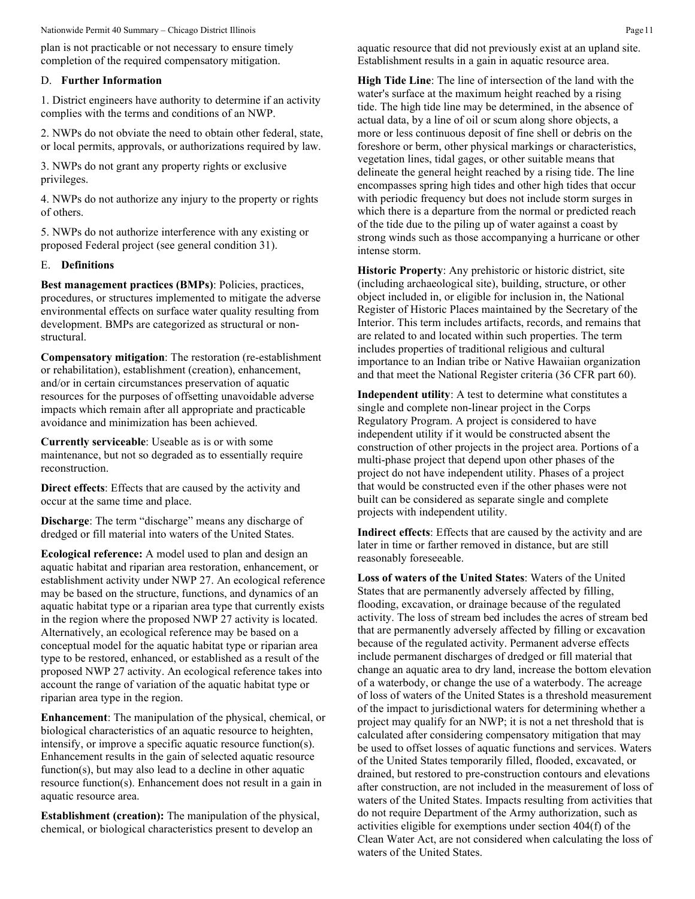plan is not practicable or not necessary to ensure timely completion of the required compensatory mitigation.

#### D. **Further Information**

1. District engineers have authority to determine if an activity complies with the terms and conditions of an NWP.

2. NWPs do not obviate the need to obtain other federal, state, or local permits, approvals, or authorizations required by law.

3. NWPs do not grant any property rights or exclusive privileges.

4. NWPs do not authorize any injury to the property or rights of others.

5. NWPs do not authorize interference with any existing or proposed Federal project (see general condition 31).

#### E. **Definitions**

**Best management practices (BMPs)**: Policies, practices, procedures, or structures implemented to mitigate the adverse environmental effects on surface water quality resulting from development. BMPs are categorized as structural or nonstructural.

**Compensatory mitigation**: The restoration (re-establishment or rehabilitation), establishment (creation), enhancement, and/or in certain circumstances preservation of aquatic resources for the purposes of offsetting unavoidable adverse impacts which remain after all appropriate and practicable avoidance and minimization has been achieved.

**Currently serviceable**: Useable as is or with some maintenance, but not so degraded as to essentially require reconstruction.

**Direct effects**: Effects that are caused by the activity and occur at the same time and place.

**Discharge**: The term "discharge" means any discharge of dredged or fill material into waters of the United States.

**Ecological reference:** A model used to plan and design an aquatic habitat and riparian area restoration, enhancement, or establishment activity under NWP 27. An ecological reference may be based on the structure, functions, and dynamics of an aquatic habitat type or a riparian area type that currently exists in the region where the proposed NWP 27 activity is located. Alternatively, an ecological reference may be based on a conceptual model for the aquatic habitat type or riparian area type to be restored, enhanced, or established as a result of the proposed NWP 27 activity. An ecological reference takes into account the range of variation of the aquatic habitat type or riparian area type in the region.

**Enhancement**: The manipulation of the physical, chemical, or biological characteristics of an aquatic resource to heighten, intensify, or improve a specific aquatic resource function(s). Enhancement results in the gain of selected aquatic resource function(s), but may also lead to a decline in other aquatic resource function(s). Enhancement does not result in a gain in aquatic resource area.

**Establishment (creation):** The manipulation of the physical, chemical, or biological characteristics present to develop an

aquatic resource that did not previously exist at an upland site. Establishment results in a gain in aquatic resource area.

**High Tide Line**: The line of intersection of the land with the water's surface at the maximum height reached by a rising tide. The high tide line may be determined, in the absence of actual data, by a line of oil or scum along shore objects, a more or less continuous deposit of fine shell or debris on the foreshore or berm, other physical markings or characteristics, vegetation lines, tidal gages, or other suitable means that delineate the general height reached by a rising tide. The line encompasses spring high tides and other high tides that occur with periodic frequency but does not include storm surges in which there is a departure from the normal or predicted reach of the tide due to the piling up of water against a coast by strong winds such as those accompanying a hurricane or other intense storm.

**Historic Property**: Any prehistoric or historic district, site (including archaeological site), building, structure, or other object included in, or eligible for inclusion in, the National Register of Historic Places maintained by the Secretary of the Interior. This term includes artifacts, records, and remains that are related to and located within such properties. The term includes properties of traditional religious and cultural importance to an Indian tribe or Native Hawaiian organization and that meet the National Register criteria (36 CFR part 60).

**Independent utility**: A test to determine what constitutes a single and complete non-linear project in the Corps Regulatory Program. A project is considered to have independent utility if it would be constructed absent the construction of other projects in the project area. Portions of a multi-phase project that depend upon other phases of the project do not have independent utility. Phases of a project that would be constructed even if the other phases were not built can be considered as separate single and complete projects with independent utility.

**Indirect effects**: Effects that are caused by the activity and are later in time or farther removed in distance, but are still reasonably foreseeable.

**Loss of waters of the United States**: Waters of the United States that are permanently adversely affected by filling, flooding, excavation, or drainage because of the regulated activity. The loss of stream bed includes the acres of stream bed that are permanently adversely affected by filling or excavation because of the regulated activity. Permanent adverse effects include permanent discharges of dredged or fill material that change an aquatic area to dry land, increase the bottom elevation of a waterbody, or change the use of a waterbody. The acreage of loss of waters of the United States is a threshold measurement of the impact to jurisdictional waters for determining whether a project may qualify for an NWP; it is not a net threshold that is calculated after considering compensatory mitigation that may be used to offset losses of aquatic functions and services. Waters of the United States temporarily filled, flooded, excavated, or drained, but restored to pre-construction contours and elevations after construction, are not included in the measurement of loss of waters of the United States. Impacts resulting from activities that do not require Department of the Army authorization, such as activities eligible for exemptions under section 404(f) of the Clean Water Act, are not considered when calculating the loss of waters of the United States.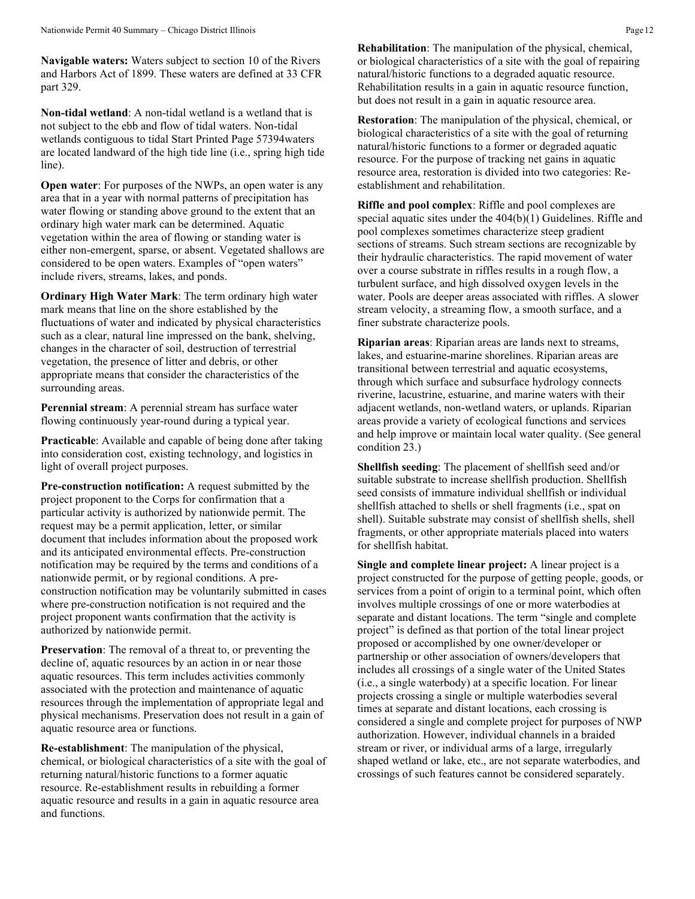**Navigable waters:** Waters subject to section 10 of the Rivers and Harbors Act of 1899. These waters are defined at 33 CFR part 329.

**Non-tidal wetland**: A non-tidal wetland is a wetland that is not subject to the ebb and flow of tidal waters. Non-tidal wetlands contiguous to tidal Start Printed Page 57394waters are located landward of the high tide line (i.e., spring high tide line).

**Open water:** For purposes of the NWPs, an open water is any area that in a year with normal patterns of precipitation has water flowing or standing above ground to the extent that an ordinary high water mark can be determined. Aquatic vegetation within the area of flowing or standing water is either non-emergent, sparse, or absent. Vegetated shallows are considered to be open waters. Examples of "open waters" include rivers, streams, lakes, and ponds.

**Ordinary High Water Mark**: The term ordinary high water mark means that line on the shore established by the fluctuations of water and indicated by physical characteristics such as a clear, natural line impressed on the bank, shelving, changes in the character of soil, destruction of terrestrial vegetation, the presence of litter and debris, or other appropriate means that consider the characteristics of the surrounding areas.

**Perennial stream**: A perennial stream has surface water flowing continuously year-round during a typical year.

**Practicable**: Available and capable of being done after taking into consideration cost, existing technology, and logistics in light of overall project purposes.

**Pre-construction notification:** A request submitted by the project proponent to the Corps for confirmation that a particular activity is authorized by nationwide permit. The request may be a permit application, letter, or similar document that includes information about the proposed work and its anticipated environmental effects. Pre-construction notification may be required by the terms and conditions of a nationwide permit, or by regional conditions. A preconstruction notification may be voluntarily submitted in cases where pre-construction notification is not required and the project proponent wants confirmation that the activity is authorized by nationwide permit.

**Preservation**: The removal of a threat to, or preventing the decline of, aquatic resources by an action in or near those aquatic resources. This term includes activities commonly associated with the protection and maintenance of aquatic resources through the implementation of appropriate legal and physical mechanisms. Preservation does not result in a gain of aquatic resource area or functions.

**Re-establishment**: The manipulation of the physical, chemical, or biological characteristics of a site with the goal of returning natural/historic functions to a former aquatic resource. Re-establishment results in rebuilding a former aquatic resource and results in a gain in aquatic resource area and functions.

**Rehabilitation**: The manipulation of the physical, chemical, or biological characteristics of a site with the goal of repairing natural/historic functions to a degraded aquatic resource. Rehabilitation results in a gain in aquatic resource function, but does not result in a gain in aquatic resource area.

**Restoration**: The manipulation of the physical, chemical, or biological characteristics of a site with the goal of returning natural/historic functions to a former or degraded aquatic resource. For the purpose of tracking net gains in aquatic resource area, restoration is divided into two categories: Reestablishment and rehabilitation.

**Riffle and pool complex**: Riffle and pool complexes are special aquatic sites under the 404(b)(1) Guidelines. Riffle and pool complexes sometimes characterize steep gradient sections of streams. Such stream sections are recognizable by their hydraulic characteristics. The rapid movement of water over a course substrate in riffles results in a rough flow, a turbulent surface, and high dissolved oxygen levels in the water. Pools are deeper areas associated with riffles. A slower stream velocity, a streaming flow, a smooth surface, and a finer substrate characterize pools.

**Riparian areas**: Riparian areas are lands next to streams, lakes, and estuarine-marine shorelines. Riparian areas are transitional between terrestrial and aquatic ecosystems, through which surface and subsurface hydrology connects riverine, lacustrine, estuarine, and marine waters with their adjacent wetlands, non-wetland waters, or uplands. Riparian areas provide a variety of ecological functions and services and help improve or maintain local water quality. (See general condition 23.)

**Shellfish seeding**: The placement of shellfish seed and/or suitable substrate to increase shellfish production. Shellfish seed consists of immature individual shellfish or individual shellfish attached to shells or shell fragments (i.e., spat on shell). Suitable substrate may consist of shellfish shells, shell fragments, or other appropriate materials placed into waters for shellfish habitat.

**Single and complete linear project:** A linear project is a project constructed for the purpose of getting people, goods, or services from a point of origin to a terminal point, which often involves multiple crossings of one or more waterbodies at separate and distant locations. The term "single and complete project" is defined as that portion of the total linear project proposed or accomplished by one owner/developer or partnership or other association of owners/developers that includes all crossings of a single water of the United States (i.e., a single waterbody) at a specific location. For linear projects crossing a single or multiple waterbodies several times at separate and distant locations, each crossing is considered a single and complete project for purposes of NWP authorization. However, individual channels in a braided stream or river, or individual arms of a large, irregularly shaped wetland or lake, etc., are not separate waterbodies, and crossings of such features cannot be considered separately.